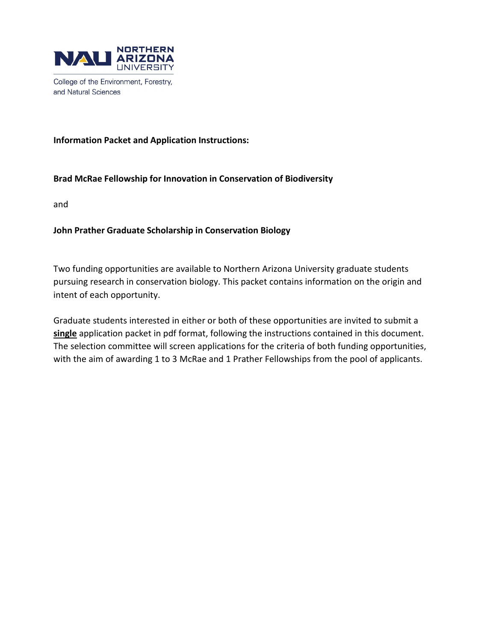

College of the Environment, Forestry, and Natural Sciences

### **Information Packet and Application Instructions:**

#### **Brad McRae Fellowship for Innovation in Conservation of Biodiversity**

and

#### **John Prather Graduate Scholarship in Conservation Biology**

Two funding opportunities are available to Northern Arizona University graduate students pursuing research in conservation biology. This packet contains information on the origin and intent of each opportunity.

Graduate students interested in either or both of these opportunities are invited to submit a **single** application packet in pdf format, following the instructions contained in this document. The selection committee will screen applications for the criteria of both funding opportunities, with the aim of awarding 1 to 3 McRae and 1 Prather Fellowships from the pool of applicants.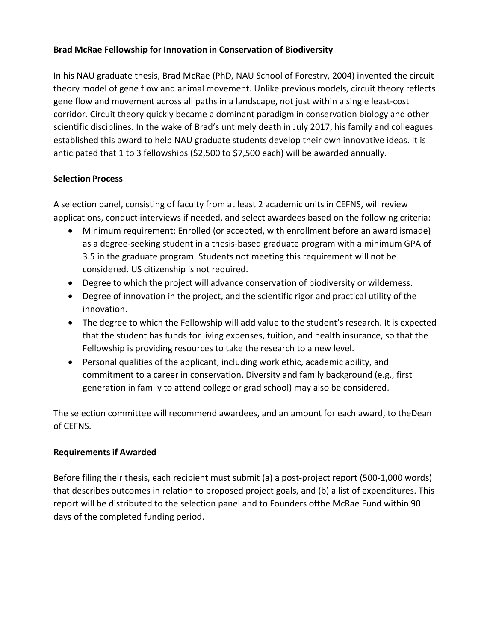# **Brad McRae Fellowship for Innovation in Conservation of Biodiversity**

In his NAU graduate thesis, Brad McRae (PhD, NAU School of Forestry, 2004) invented the circuit theory model of gene flow and animal movement. Unlike previous models, circuit theory reflects gene flow and movement across all paths in a landscape, not just within a single least-cost corridor. Circuit theory quickly became a dominant paradigm in conservation biology and other scientific disciplines. In the wake of Brad's untimely death in July 2017, his family and colleagues established this award to help NAU graduate students develop their own innovative ideas. It is anticipated that 1 to 3 fellowships (\$2,500 to \$7,500 each) will be awarded annually.

# **Selection Process**

A selection panel, consisting of faculty from at least 2 academic units in CEFNS, will review applications, conduct interviews if needed, and select awardees based on the following criteria:

- Minimum requirement: Enrolled (or accepted, with enrollment before an award ismade) as a degree-seeking student in a thesis-based graduate program with a minimum GPA of 3.5 in the graduate program. Students not meeting this requirement will not be considered. US citizenship is not required.
- Degree to which the project will advance conservation of biodiversity or wilderness.
- Degree of innovation in the project, and the scientific rigor and practical utility of the innovation.
- The degree to which the Fellowship will add value to the student's research. It is expected that the student has funds for living expenses, tuition, and health insurance, so that the Fellowship is providing resources to take the research to a new level.
- Personal qualities of the applicant, including work ethic, academic ability, and commitment to a career in conservation. Diversity and family background (e.g., first generation in family to attend college or grad school) may also be considered.

The selection committee will recommend awardees, and an amount for each award, to theDean of CEFNS.

# **Requirements if Awarded**

Before filing their thesis, each recipient must submit (a) a post-project report (500-1,000 words) that describes outcomes in relation to proposed project goals, and (b) a list of expenditures. This report will be distributed to the selection panel and to Founders ofthe McRae Fund within 90 days of the completed funding period.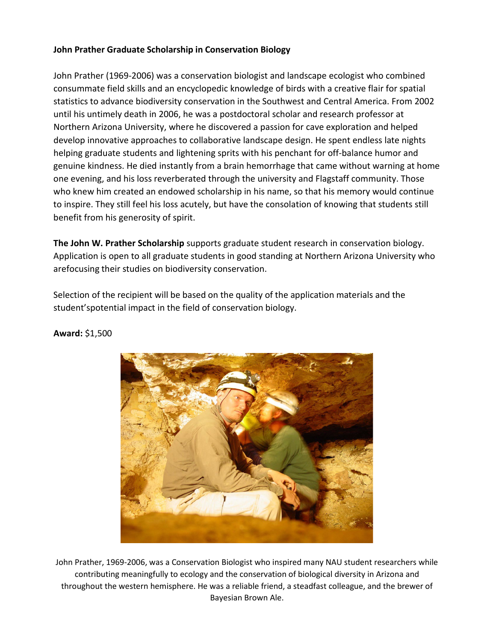## **John Prather Graduate Scholarship in Conservation Biology**

John Prather (1969-2006) was a conservation biologist and landscape ecologist who combined consummate field skills and an encyclopedic knowledge of birds with a creative flair for spatial statistics to advance biodiversity conservation in the Southwest and Central America. From 2002 until his untimely death in 2006, he was a postdoctoral scholar and research professor at Northern Arizona University, where he discovered a passion for cave exploration and helped develop innovative approaches to collaborative landscape design. He spent endless late nights helping graduate students and lightening sprits with his penchant for off-balance humor and genuine kindness. He died instantly from a brain hemorrhage that came without warning at home one evening, and his loss reverberated through the university and Flagstaff community. Those who knew him created an endowed scholarship in his name, so that his memory would continue to inspire. They still feel his loss acutely, but have the consolation of knowing that students still benefit from his generosity of spirit.

**The John W. Prather Scholarship** supports graduate student research in conservation biology. Application is open to all graduate students in good standing at Northern Arizona University who arefocusing their studies on biodiversity conservation.

Selection of the recipient will be based on the quality of the application materials and the student'spotential impact in the field of conservation biology.



**Award:** \$1,500

John Prather, 1969-2006, was a Conservation Biologist who inspired many NAU student researchers while contributing meaningfully to ecology and the conservation of biological diversity in Arizona and throughout the western hemisphere. He was a reliable friend, a steadfast colleague, and the brewer of Bayesian Brown Ale.